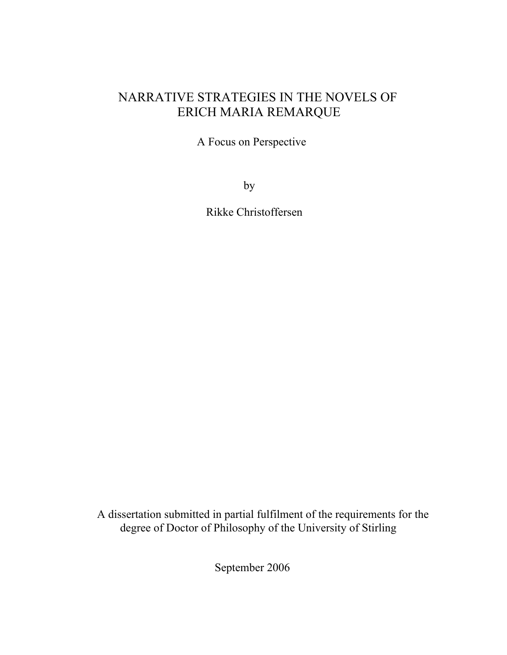## NARRATIVE STRATEGIES IN THE NOVELS OF ERICH MARIA REMARQUE

A Focus on Perspective

by

Rikke Christoffersen

 A dissertation submitted in partial fulfilment of the requirements for the degree of Doctor of Philosophy of the University of Stirling

September 2006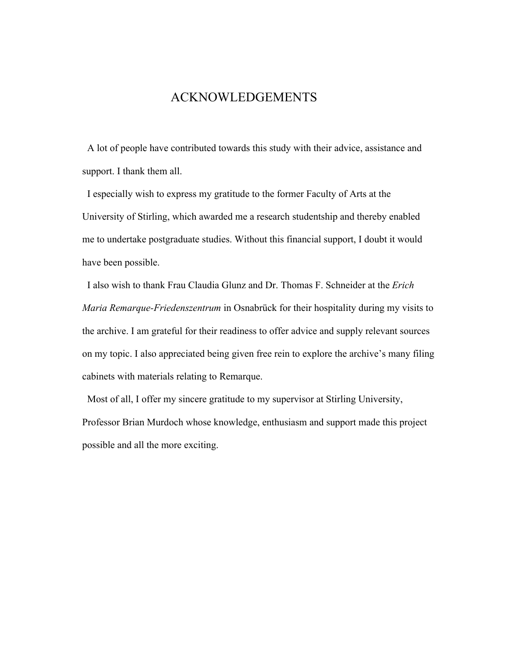### ACKNOWLEDGEMENTS

 A lot of people have contributed towards this study with their advice, assistance and support. I thank them all.

I especially wish to express my gratitude to the former Faculty of Arts at the University of Stirling, which awarded me a research studentship and thereby enabled me to undertake postgraduate studies. Without this financial support, I doubt it would have been possible.

I also wish to thank Frau Claudia Glunz and Dr. Thomas F. Schneider at the *Erich Maria Remarque-Friedenszentrum* in Osnabrück for their hospitality during my visits to the archive. I am grateful for their readiness to offer advice and supply relevant sources on my topic. I also appreciated being given free rein to explore the archive's many filing cabinets with materials relating to Remarque.

Most of all, I offer my sincere gratitude to my supervisor at Stirling University, Professor Brian Murdoch whose knowledge, enthusiasm and support made this project possible and all the more exciting.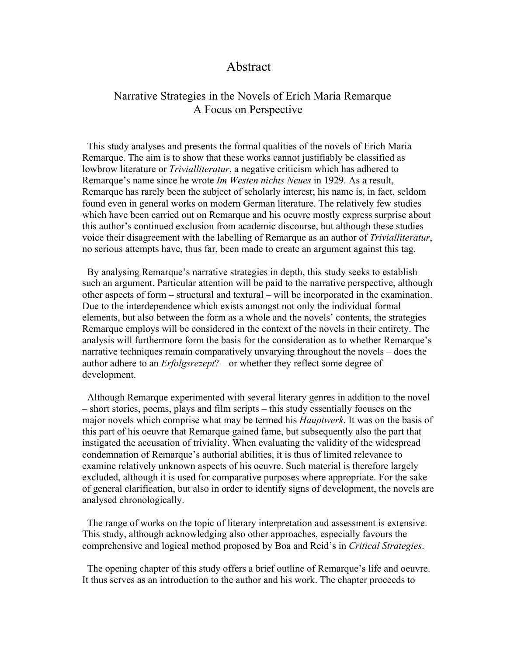#### Abstract

#### Narrative Strategies in the Novels of Erich Maria Remarque A Focus on Perspective

This study analyses and presents the formal qualities of the novels of Erich Maria Remarque. The aim is to show that these works cannot justifiably be classified as lowbrow literature or *Trivialliteratur*, a negative criticism which has adhered to Remarque's name since he wrote *Im Westen nichts Neues* in 1929. As a result, Remarque has rarely been the subject of scholarly interest; his name is, in fact, seldom found even in general works on modern German literature. The relatively few studies which have been carried out on Remarque and his oeuvre mostly express surprise about this author's continued exclusion from academic discourse, but although these studies voice their disagreement with the labelling of Remarque as an author of *Trivialliteratur*, no serious attempts have, thus far, been made to create an argument against this tag.

By analysing Remarque's narrative strategies in depth, this study seeks to establish such an argument. Particular attention will be paid to the narrative perspective, although other aspects of form – structural and textural – will be incorporated in the examination. Due to the interdependence which exists amongst not only the individual formal elements, but also between the form as a whole and the novels' contents, the strategies Remarque employs will be considered in the context of the novels in their entirety. The analysis will furthermore form the basis for the consideration as to whether Remarque's narrative techniques remain comparatively unvarying throughout the novels – does the author adhere to an *Erfolgsrezept*? – or whether they reflect some degree of development.

Although Remarque experimented with several literary genres in addition to the novel – short stories, poems, plays and film scripts – this study essentially focuses on the major novels which comprise what may be termed his *Hauptwerk*. It was on the basis of this part of his oeuvre that Remarque gained fame, but subsequently also the part that instigated the accusation of triviality. When evaluating the validity of the widespread condemnation of Remarque's authorial abilities, it is thus of limited relevance to examine relatively unknown aspects of his oeuvre. Such material is therefore largely excluded, although it is used for comparative purposes where appropriate. For the sake of general clarification, but also in order to identify signs of development, the novels are analysed chronologically.

The range of works on the topic of literary interpretation and assessment is extensive. This study, although acknowledging also other approaches, especially favours the comprehensive and logical method proposed by Boa and Reid's in *Critical Strategies*.

The opening chapter of this study offers a brief outline of Remarque's life and oeuvre. It thus serves as an introduction to the author and his work. The chapter proceeds to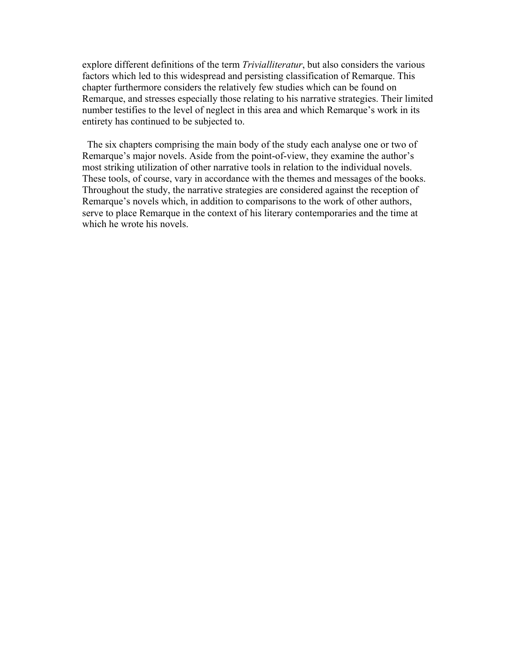explore different definitions of the term *Trivialliteratur*, but also considers the various factors which led to this widespread and persisting classification of Remarque. This chapter furthermore considers the relatively few studies which can be found on Remarque, and stresses especially those relating to his narrative strategies. Their limited number testifies to the level of neglect in this area and which Remarque's work in its entirety has continued to be subjected to.

The six chapters comprising the main body of the study each analyse one or two of Remarque's major novels. Aside from the point-of-view, they examine the author's most striking utilization of other narrative tools in relation to the individual novels. These tools, of course, vary in accordance with the themes and messages of the books. Throughout the study, the narrative strategies are considered against the reception of Remarque's novels which, in addition to comparisons to the work of other authors, serve to place Remarque in the context of his literary contemporaries and the time at which he wrote his novels.